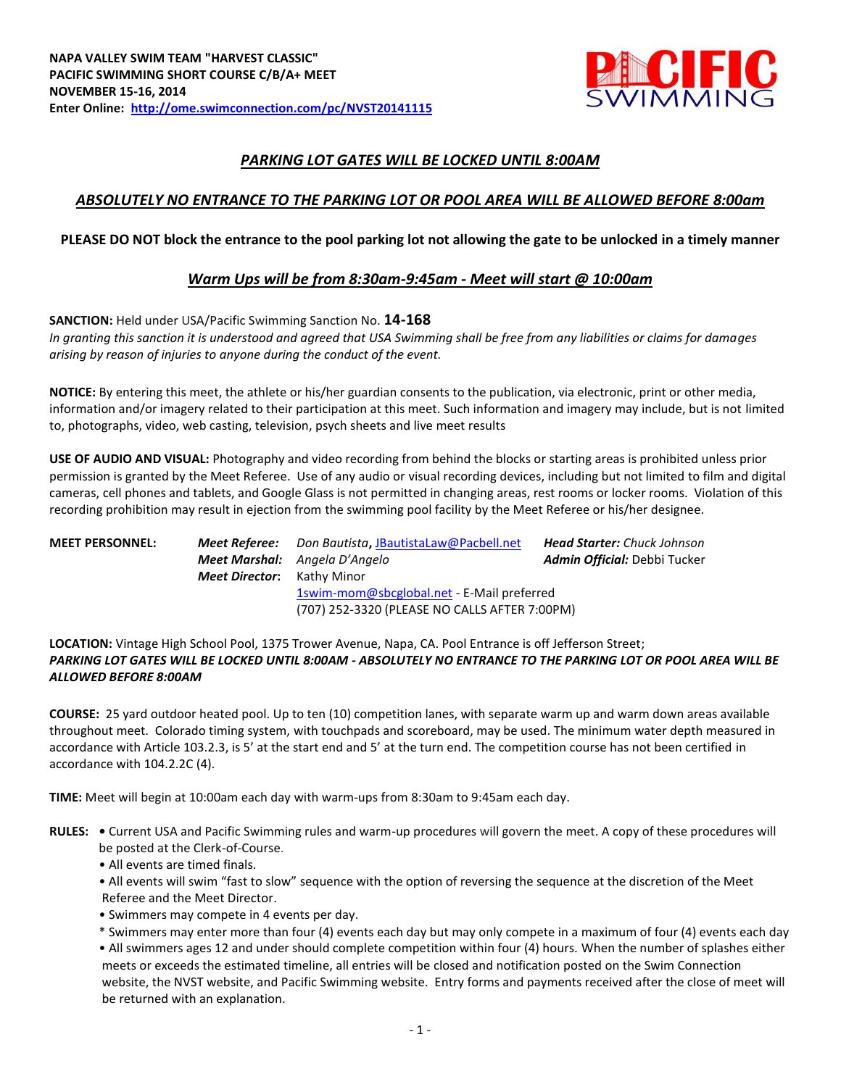

# *PARKING LOT GATES WILL BE LOCKED UNTIL 8:00AM*

## *ABSOLUTELY NO ENTRANCE TO THE PARKING LOT OR POOL AREA WILL BE ALLOWED BEFORE 8:00am*

### **PLEASE DO NOT block the entrance to the pool parking lot not allowing the gate to be unlocked in a timely manner**

## *Warm Ups will be from 8:30am-9:45am - Meet will start @ 10:00am*

**SANCTION:** Held under USA/Pacific Swimming Sanction No. **14-168** *In granting this sanction it is understood and agreed that USA Swimming shall be free from any liabilities or claims for damages arising by reason of injuries to anyone during the conduct of the event.*

**NOTICE:** By entering this meet, the athlete or his/her guardian consents to the publication, via electronic, print or other media, information and/or imagery related to their participation at this meet. Such information and imagery may include, but is not limited to, photographs, video, web casting, television, psych sheets and live meet results

**USE OF AUDIO AND VISUAL:** Photography and video recording from behind the blocks or starting areas is prohibited unless prior permission is granted by the Meet Referee. Use of any audio or visual recording devices, including but not limited to film and digital cameras, cell phones and tablets, and Google Glass is not permitted in changing areas, rest rooms or locker rooms. Violation of this recording prohibition may result in ejection from the swimming pool facility by the Meet Referee or his/her designee.

| <b>MEET PERSONNEL:</b> | Meet Referee:<br><b>Meet Director:</b> Kathy Minor | Don Bautista, JBautistaLaw@Pacbell.net<br><b>Meet Marshal:</b> Angela D'Angelo<br>1swim-mom@sbcglobal.net - E-Mail preferred | <b>Head Starter:</b> Chuck Johnson<br><b>Admin Official:</b> Debbi Tucker |
|------------------------|----------------------------------------------------|------------------------------------------------------------------------------------------------------------------------------|---------------------------------------------------------------------------|
|                        |                                                    | (707) 252-3320 (PLEASE NO CALLS AFTER 7:00PM)                                                                                |                                                                           |

**LOCATION:** Vintage High School Pool, 1375 Trower Avenue, Napa, CA. Pool Entrance is off Jefferson Street; *PARKING LOT GATES WILL BE LOCKED UNTIL 8:00AM - ABSOLUTELY NO ENTRANCE TO THE PARKING LOT OR POOL AREA WILL BE ALLOWED BEFORE 8:00AM*

**COURSE:** 25 yard outdoor heated pool. Up to ten (10) competition lanes, with separate warm up and warm down areas available throughout meet. Colorado timing system, with touchpads and scoreboard, may be used. The minimum water depth measured in accordance with Article 103.2.3, is 5' at the start end and 5' at the turn end. The competition course has not been certified in accordance with 104.2.2C (4).

**TIME:** Meet will begin at 10:00am each day with warm-ups from 8:30am to 9:45am each day.

- **RULES:** Current USA and Pacific Swimming rules and warm-up procedures will govern the meet. A copy of these procedures will be posted at the Clerk-of-Course.
	- All events are timed finals.
	- All events will swim "fast to slow" sequence with the option of reversing the sequence at the discretion of the Meet Referee and the Meet Director.
	- Swimmers may compete in 4 events per day.
	- \* Swimmers may enter more than four (4) events each day but may only compete in a maximum of four (4) events each day
	- All swimmers ages 12 and under should complete competition within four (4) hours. When the number of splashes either meets or exceeds the estimated timeline, all entries will be closed and notification posted on the Swim Connection website, the NVST website, and Pacific Swimming website. Entry forms and payments received after the close of meet will be returned with an explanation.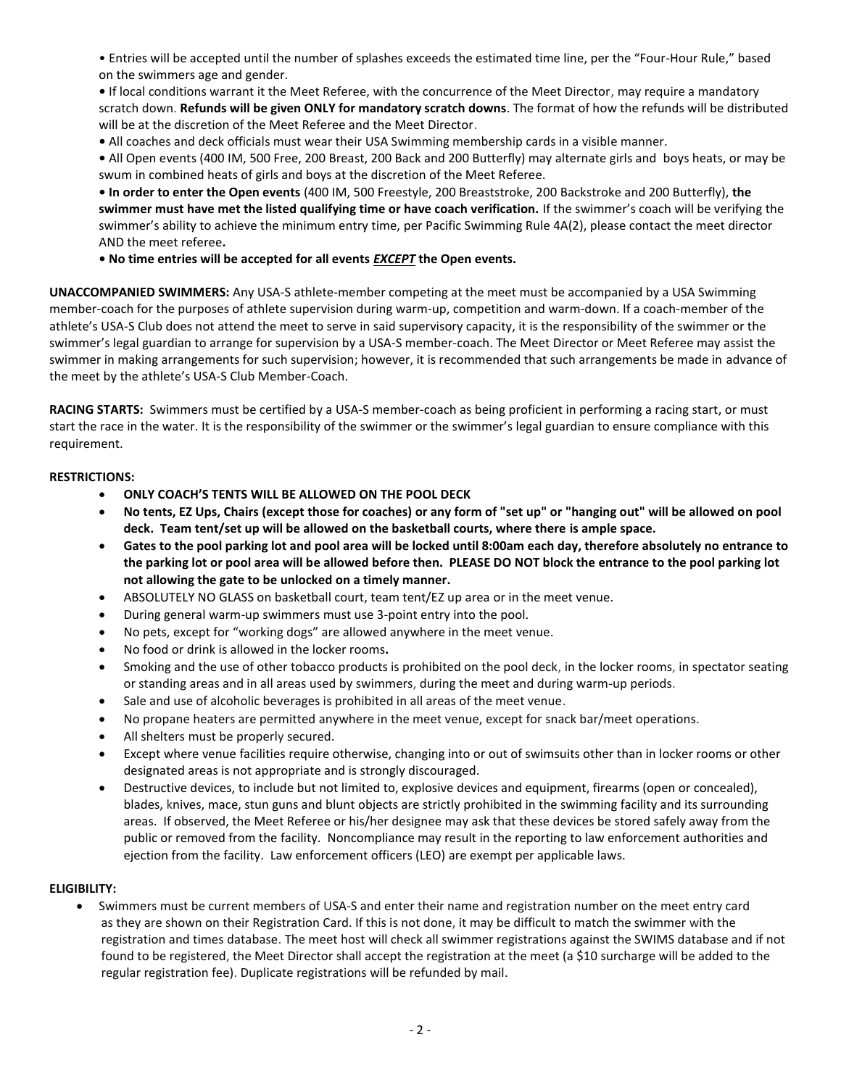• Entries will be accepted until the number of splashes exceeds the estimated time line, per the "Four-Hour Rule," based on the swimmers age and gender.

**•** If local conditions warrant it the Meet Referee, with the concurrence of the Meet Director, may require a mandatory scratch down. **Refunds will be given ONLY for mandatory scratch downs**. The format of how the refunds will be distributed will be at the discretion of the Meet Referee and the Meet Director.

**•** All coaches and deck officials must wear their USA Swimming membership cards in a visible manner.

**•** All Open events (400 IM, 500 Free, 200 Breast, 200 Back and 200 Butterfly) may alternate girls and boys heats, or may be swum in combined heats of girls and boys at the discretion of the Meet Referee.

**• In order to enter the Open events** (400 IM, 500 Freestyle, 200 Breaststroke, 200 Backstroke and 200 Butterfly), **the swimmer must have met the listed qualifying time or have coach verification.** If the swimmer's coach will be verifying the swimmer's ability to achieve the minimum entry time, per Pacific Swimming Rule 4A(2), please contact the meet director AND the meet referee**.**

**• No time entries will be accepted for all events** *EXCEPT* **the Open events.** 

**UNACCOMPANIED SWIMMERS:** Any USA-S athlete-member competing at the meet must be accompanied by a USA Swimming member-coach for the purposes of athlete supervision during warm-up, competition and warm-down. If a coach-member of the athlete's USA-S Club does not attend the meet to serve in said supervisory capacity, it is the responsibility of the swimmer or the swimmer's legal guardian to arrange for supervision by a USA-S member-coach. The Meet Director or Meet Referee may assist the swimmer in making arrangements for such supervision; however, it is recommended that such arrangements be made in advance of the meet by the athlete's USA-S Club Member-Coach.

**RACING STARTS:** Swimmers must be certified by a USA-S member-coach as being proficient in performing a racing start, or must start the race in the water. It is the responsibility of the swimmer or the swimmer's legal guardian to ensure compliance with this requirement.

#### **RESTRICTIONS:**

- **ONLY COACH'S TENTS WILL BE ALLOWED ON THE POOL DECK**
- **No tents, EZ Ups, Chairs (except those for coaches) or any form of "set up" or "hanging out" will be allowed on pool deck. Team tent/set up will be allowed on the basketball courts, where there is ample space.**
- **Gates to the pool parking lot and pool area will be locked until 8:00am each day, therefore absolutely no entrance to the parking lot or pool area will be allowed before then. PLEASE DO NOT block the entrance to the pool parking lot not allowing the gate to be unlocked on a timely manner.**
- ABSOLUTELY NO GLASS on basketball court, team tent/EZ up area or in the meet venue.
- During general warm-up swimmers must use 3-point entry into the pool.
- No pets, except for "working dogs" are allowed anywhere in the meet venue.
- No food or drink is allowed in the locker rooms**.**
- Smoking and the use of other tobacco products is prohibited on the pool deck, in the locker rooms, in spectator seating or standing areas and in all areas used by swimmers, during the meet and during warm-up periods.
- Sale and use of alcoholic beverages is prohibited in all areas of the meet venue.
- No propane heaters are permitted anywhere in the meet venue, except for snack bar/meet operations.
- All shelters must be properly secured.
- Except where venue facilities require otherwise, changing into or out of swimsuits other than in locker rooms or other designated areas is not appropriate and is strongly discouraged.
- Destructive devices, to include but not limited to, explosive devices and equipment, firearms (open or concealed), blades, knives, mace, stun guns and blunt objects are strictly prohibited in the swimming facility and its surrounding areas. If observed, the Meet Referee or his/her designee may ask that these devices be stored safely away from the public or removed from the facility. Noncompliance may result in the reporting to law enforcement authorities and ejection from the facility. Law enforcement officers (LEO) are exempt per applicable laws.

#### **ELIGIBILITY:**

 Swimmers must be current members of USA-S and enter their name and registration number on the meet entry card as they are shown on their Registration Card. If this is not done, it may be difficult to match the swimmer with the registration and times database. The meet host will check all swimmer registrations against the SWIMS database and if not found to be registered, the Meet Director shall accept the registration at the meet (a \$10 surcharge will be added to the regular registration fee). Duplicate registrations will be refunded by mail.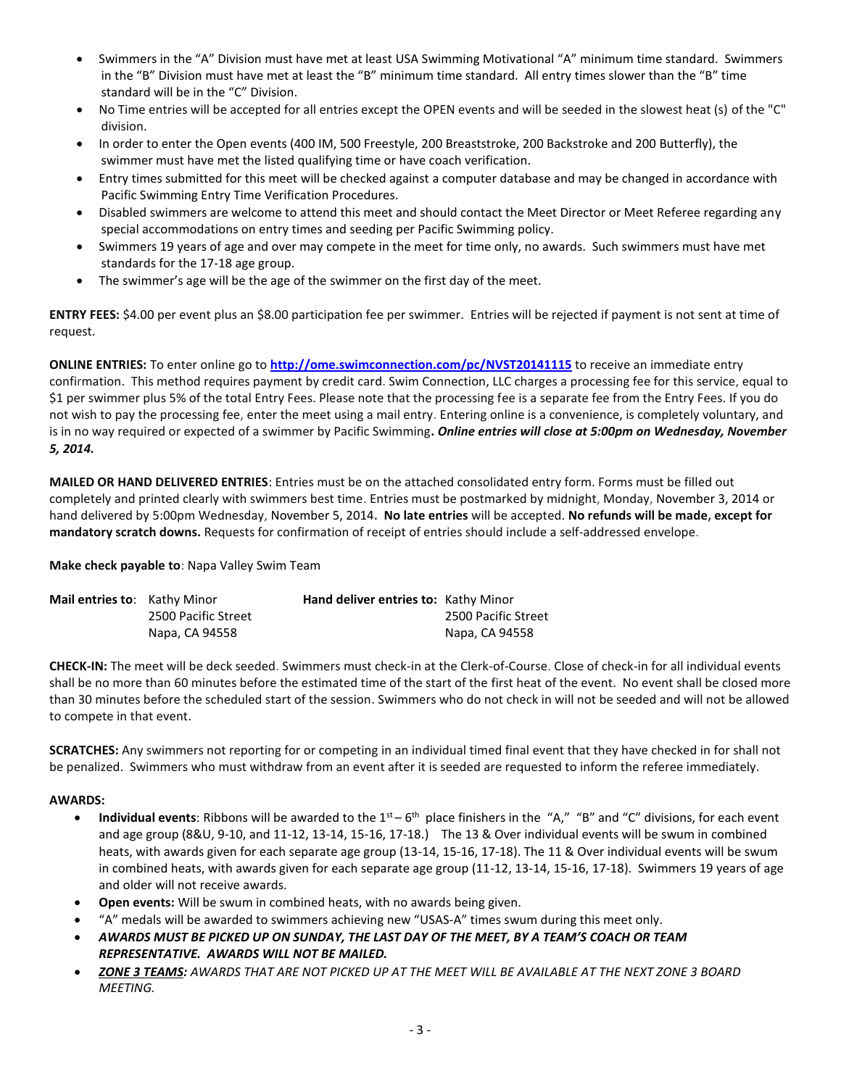- Swimmers in the "A" Division must have met at least USA Swimming Motivational "A" minimum time standard. Swimmers in the "B" Division must have met at least the "B" minimum time standard. All entry times slower than the "B" time standard will be in the "C" Division.
- No Time entries will be accepted for all entries except the OPEN events and will be seeded in the slowest heat (s) of the "C" division.
- In order to enter the Open events (400 IM, 500 Freestyle, 200 Breaststroke, 200 Backstroke and 200 Butterfly), the swimmer must have met the listed qualifying time or have coach verification.
- Entry times submitted for this meet will be checked against a computer database and may be changed in accordance with Pacific Swimming Entry Time Verification Procedures.
- Disabled swimmers are welcome to attend this meet and should contact the Meet Director or Meet Referee regarding any special accommodations on entry times and seeding per Pacific Swimming policy.
- Swimmers 19 years of age and over may compete in the meet for time only, no awards. Such swimmers must have met standards for the 17-18 age group.
- The swimmer's age will be the age of the swimmer on the first day of the meet.

**ENTRY FEES:** \$4.00 per event plus an \$8.00 participation fee per swimmer. Entries will be rejected if payment is not sent at time of request.

**ONLINE ENTRIES:** To enter online go to **<http://ome.swimconnection.com/pc/NVST20141115>** to receive an immediate entry confirmation. This method requires payment by credit card. Swim Connection, LLC charges a processing fee for this service, equal to \$1 per swimmer plus 5% of the total Entry Fees. Please note that the processing fee is a separate fee from the Entry Fees. If you do not wish to pay the processing fee, enter the meet using a mail entry. Entering online is a convenience, is completely voluntary, and is in no way required or expected of a swimmer by Pacific Swimming**.** *Online entries will close at 5:00pm on Wednesday, November 5, 2014.* 

**MAILED OR HAND DELIVERED ENTRIES**: Entries must be on the attached consolidated entry form. Forms must be filled out completely and printed clearly with swimmers best time. Entries must be postmarked by midnight, Monday, November 3, 2014 or hand delivered by 5:00pm Wednesday, November 5, 2014**. No late entries** will be accepted. **No refunds will be made, except for mandatory scratch downs.** Requests for confirmation of receipt of entries should include a self-addressed envelope.

#### **Make check payable to**: Napa Valley Swim Team

| <b>Mail entries to:</b> Kathy Minor |                     | <b>Hand deliver entries to: Kathy Minor</b> |                     |
|-------------------------------------|---------------------|---------------------------------------------|---------------------|
|                                     | 2500 Pacific Street |                                             | 2500 Pacific Street |
|                                     | Napa, CA 94558      |                                             | Napa, CA 94558      |

**CHECK-IN:** The meet will be deck seeded. Swimmers must check-in at the Clerk-of-Course. Close of check-in for all individual events shall be no more than 60 minutes before the estimated time of the start of the first heat of the event. No event shall be closed more than 30 minutes before the scheduled start of the session. Swimmers who do not check in will not be seeded and will not be allowed to compete in that event.

**SCRATCHES:** Any swimmers not reporting for or competing in an individual timed final event that they have checked in for shall not be penalized. Swimmers who must withdraw from an event after it is seeded are requested to inform the referee immediately.

#### **AWARDS:**

- Individual events: Ribbons will be awarded to the 1<sup>st</sup> 6<sup>th</sup> place finishers in the "A," "B" and "C" divisions, for each event and age group (8&U, 9-10, and 11-12, 13-14, 15-16, 17-18.) The 13 & Over individual events will be swum in combined heats, with awards given for each separate age group (13-14, 15-16, 17-18). The 11 & Over individual events will be swum in combined heats, with awards given for each separate age group (11-12, 13-14, 15-16, 17-18). Swimmers 19 years of age and older will not receive awards.
- **Open events:** Will be swum in combined heats, with no awards being given.
- "A" medals will be awarded to swimmers achieving new "USAS-A" times swum during this meet only.
- *AWARDS MUST BE PICKED UP ON SUNDAY, THE LAST DAY OF THE MEET, BY A TEAM'S COACH OR TEAM REPRESENTATIVE. AWARDS WILL NOT BE MAILED.*
- *ZONE 3 TEAMS: AWARDS THAT ARE NOT PICKED UP AT THE MEET WILL BE AVAILABLE AT THE NEXT ZONE 3 BOARD MEETING.*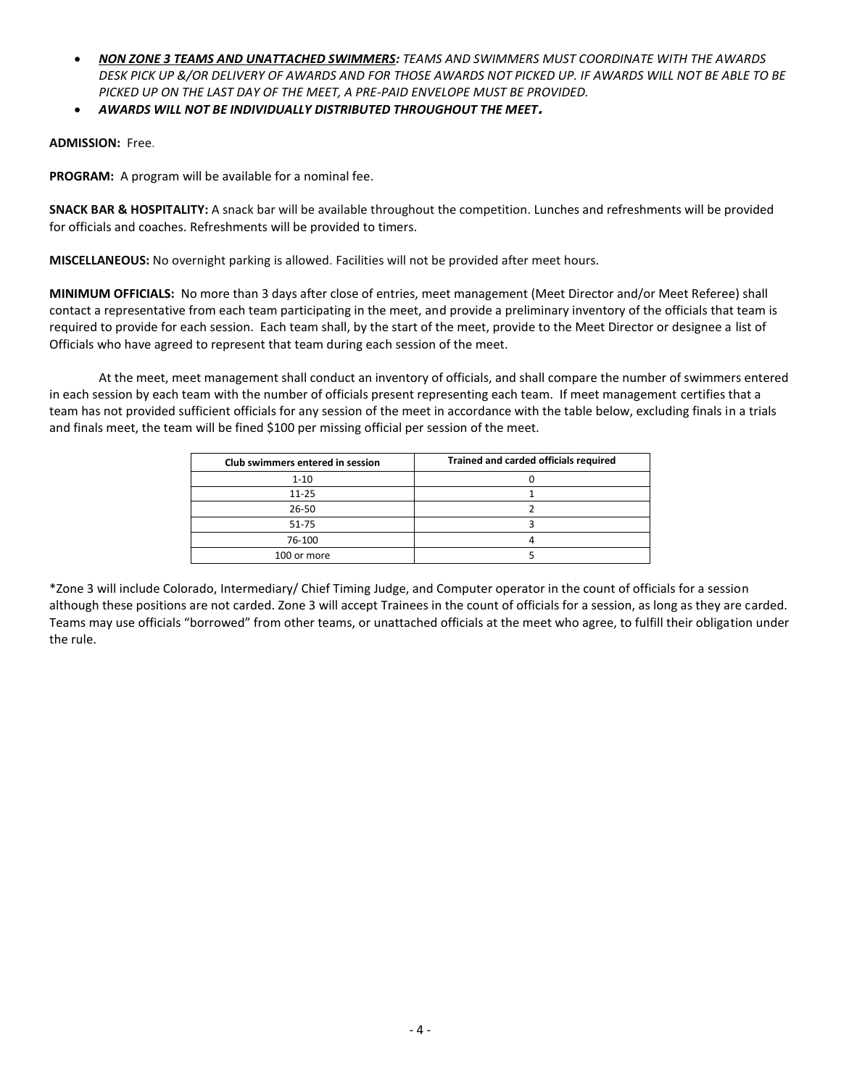- *NON ZONE 3 TEAMS AND UNATTACHED SWIMMERS: TEAMS AND SWIMMERS MUST COORDINATE WITH THE AWARDS DESK PICK UP &/OR DELIVERY OF AWARDS AND FOR THOSE AWARDS NOT PICKED UP. IF AWARDS WILL NOT BE ABLE TO BE PICKED UP ON THE LAST DAY OF THE MEET, A PRE-PAID ENVELOPE MUST BE PROVIDED.*
- *AWARDS WILL NOT BE INDIVIDUALLY DISTRIBUTED THROUGHOUT THE MEET***.**

#### **ADMISSION:** Free.

**PROGRAM:** A program will be available for a nominal fee.

**SNACK BAR & HOSPITALITY:** A snack bar will be available throughout the competition. Lunches and refreshments will be provided for officials and coaches. Refreshments will be provided to timers.

**MISCELLANEOUS:** No overnight parking is allowed. Facilities will not be provided after meet hours.

**MINIMUM OFFICIALS:** No more than 3 days after close of entries, meet management (Meet Director and/or Meet Referee) shall contact a representative from each team participating in the meet, and provide a preliminary inventory of the officials that team is required to provide for each session. Each team shall, by the start of the meet, provide to the Meet Director or designee a list of Officials who have agreed to represent that team during each session of the meet.

At the meet, meet management shall conduct an inventory of officials, and shall compare the number of swimmers entered in each session by each team with the number of officials present representing each team. If meet management certifies that a team has not provided sufficient officials for any session of the meet in accordance with the table below, excluding finals in a trials and finals meet, the team will be fined \$100 per missing official per session of the meet.

| Club swimmers entered in session | Trained and carded officials required |
|----------------------------------|---------------------------------------|
| $1 - 10$                         |                                       |
| $11 - 25$                        |                                       |
| 26-50                            |                                       |
| 51-75                            |                                       |
| 76-100                           |                                       |
| 100 or more                      |                                       |

\*Zone 3 will include Colorado, Intermediary/ Chief Timing Judge, and Computer operator in the count of officials for a session although these positions are not carded. Zone 3 will accept Trainees in the count of officials for a session, as long as they are carded. Teams may use officials "borrowed" from other teams, or unattached officials at the meet who agree, to fulfill their obligation under the rule.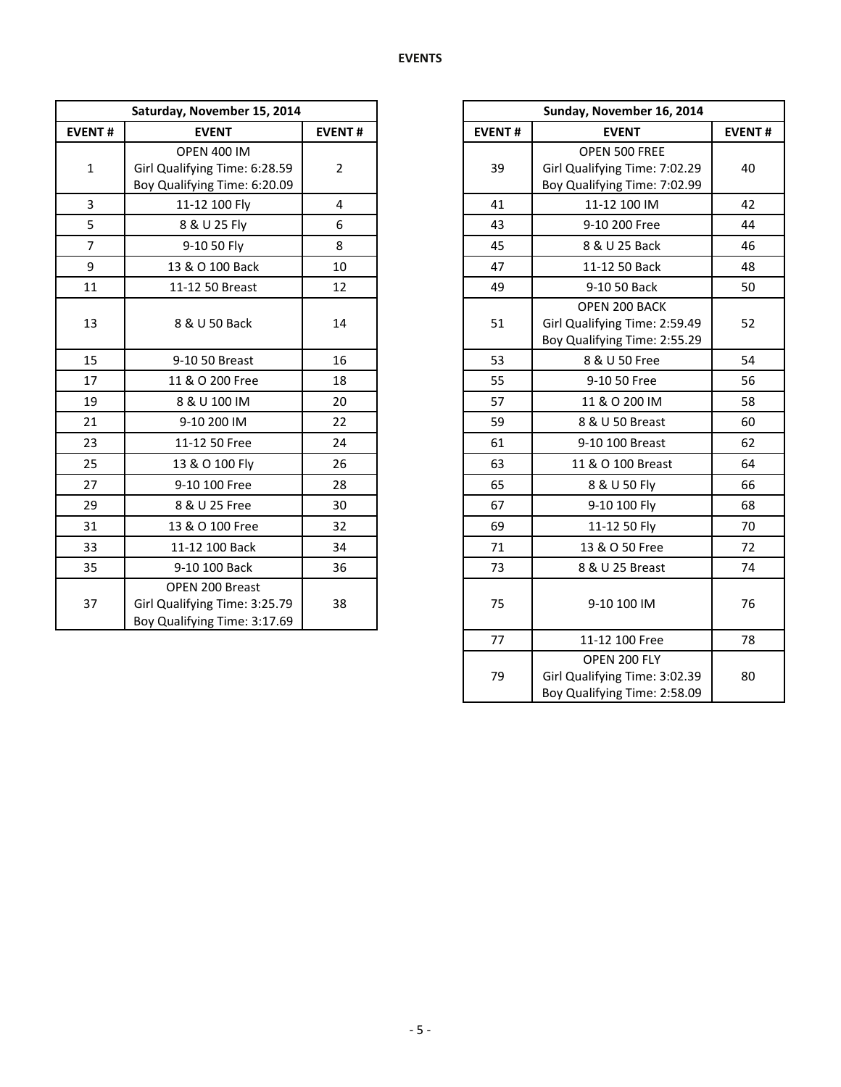|                | Saturday, November 15, 2014                                                         |                |               | Sunday, November 16, 2014                                                      |               |
|----------------|-------------------------------------------------------------------------------------|----------------|---------------|--------------------------------------------------------------------------------|---------------|
| <b>EVENT#</b>  | <b>EVENT</b>                                                                        |                | <b>EVENT#</b> | <b>EVENT</b>                                                                   | <b>EVENT#</b> |
| $\mathbf{1}$   | <b>OPEN 400 IM</b><br>Girl Qualifying Time: 6:28.59<br>Boy Qualifying Time: 6:20.09 | $\overline{2}$ | 39            | OPEN 500 FREE<br>Girl Qualifying Time: 7:02.29<br>Boy Qualifying Time: 7:02.99 | 40            |
| $\overline{3}$ | 11-12 100 Fly                                                                       | $\overline{4}$ | 41            | 11-12 100 IM                                                                   | 42            |
| 5              | 8 & U 25 Fly                                                                        | 6              | 43            | 9-10 200 Free                                                                  | 44            |
| $\overline{7}$ | 9-10 50 Fly                                                                         | 8              | 45            | 8 & U 25 Back                                                                  | 46            |
| $\overline{9}$ | 13 & O 100 Back                                                                     | 10             | 47            | 11-12 50 Back                                                                  | 48            |
| 11             | 11-12 50 Breast                                                                     | 12             | 49            | 9-10 50 Back                                                                   | 50            |
| 13             | 8 & U 50 Back                                                                       | 14             | 51            | OPEN 200 BACK<br>Girl Qualifying Time: 2:59.49<br>Boy Qualifying Time: 2:55.29 | 52            |
| 15             | 9-10 50 Breast                                                                      | 16             | 53            | 8 & U 50 Free                                                                  | 54            |
| 17             | 11 & O 200 Free                                                                     | 18             | 55            | 9-10 50 Free                                                                   | 56            |
| 19             | 8 & U 100 IM                                                                        | 20             | 57            | 11 & O 200 IM                                                                  | 58            |
| 21             | 9-10 200 IM                                                                         | 22             | 59            | 8 & U 50 Breast                                                                | 60            |
| 23             | 11-12 50 Free                                                                       | 24             | 61            | 9-10 100 Breast                                                                | 62            |
| 25             | 13 & O 100 Fly                                                                      | 26             | 63            | 11 & O 100 Breast                                                              | 64            |
| 27             | 9-10 100 Free                                                                       | 28             | 65            | 8 & U 50 Fly                                                                   | 66            |
| 29             | 8 & U 25 Free                                                                       | 30             | 67            | 9-10 100 Fly                                                                   | 68            |
| 31             | 13 & O 100 Free                                                                     | 32             | 69            | 11-12 50 Fly                                                                   | 70            |
| 33             | 11-12 100 Back                                                                      | 34             | 71            | 13 & O 50 Free                                                                 | 72            |
| 35             | 9-10 100 Back                                                                       | 36             | 73            | 8 & U 25 Breast                                                                | 74            |
| 37             | OPEN 200 Breast<br>Girl Qualifying Time: 3:25.79<br>Boy Qualifying Time: 3:17.69    | 38             | 75            | 9-10 100 IM                                                                    | 76            |

|     | Saturday, November 15, 2014                                                         |                |
|-----|-------------------------------------------------------------------------------------|----------------|
| NT# | <b>EVENT</b>                                                                        | <b>EVENT#</b>  |
|     | <b>OPEN 400 IM</b><br>Girl Qualifying Time: 6:28.59<br>Boy Qualifying Time: 6:20.09 | $\overline{2}$ |
|     | 11-12 100 Fly                                                                       | 4              |
|     | 8 & U 25 Fly                                                                        | 6              |
|     | 9-10 50 Fly                                                                         | 8              |
|     | 13 & O 100 Back                                                                     | 10             |
|     | 11-12 50 Breast                                                                     | 12             |
|     | 8 & U 50 Back                                                                       | 14             |
|     | 9-10 50 Breast                                                                      | 16             |
|     | 11 & O 200 Free                                                                     | 18             |
|     | 8 & U 100 IM                                                                        | 20             |
|     | 9-10 200 IM                                                                         | 22             |
|     | 11-12 50 Free                                                                       | 24             |
|     | 13 & O 100 Fly                                                                      | 26             |
|     | 9-10 100 Free                                                                       | 28             |
|     | 8 & U 25 Free                                                                       | 30             |
|     | 13 & O 100 Free                                                                     | 32             |
|     | 11-12 100 Back                                                                      | 34             |
|     | 9-10 100 Back                                                                       | 36             |
|     | OPEN 200 Breast<br>Girl Qualifying Time: 3:25.79<br>Boy Qualifying Time: 3:17.69    | 38             |
|     |                                                                                     |                |
|     |                                                                                     |                |